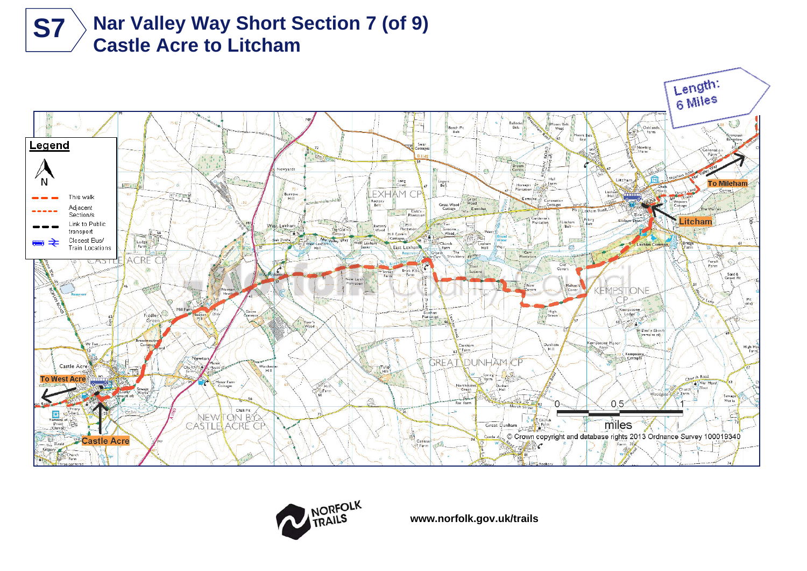





**www.norfolk.gov.uk/trails**